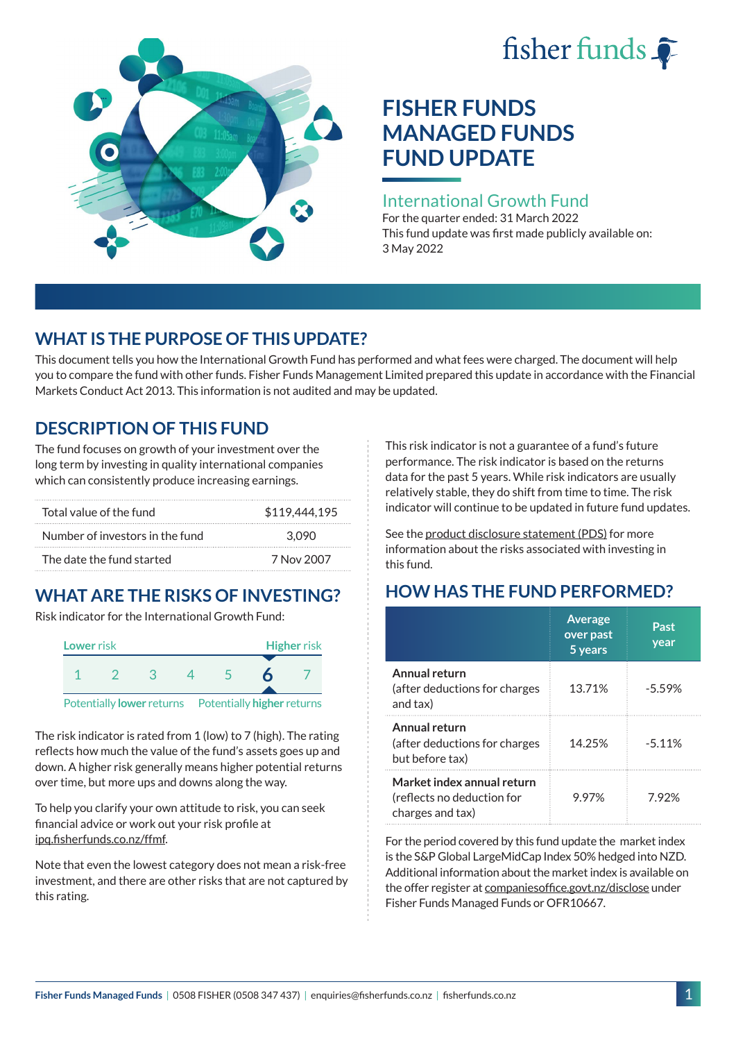# fisher funds  $\hat{\bullet}$



# **FISHER FUNDS MANAGED FUNDS FUND UPDATE**

#### International Growth Fund

For the quarter ended: 31 March 2022 This fund update was first made publicly available on: 3 May 2022

## **WHAT IS THE PURPOSE OF THIS UPDATE?**

This document tells you how the International Growth Fund has performed and what fees were charged. The document will help you to compare the fund with other funds. Fisher Funds Management Limited prepared this update in accordance with the Financial Markets Conduct Act 2013. This information is not audited and may be updated.

## **DESCRIPTION OF THIS FUND**

The fund focuses on growth of your investment over the long term by investing in quality international companies which can consistently produce increasing earnings.

| Total value of the fund         | \$119,444,195 |
|---------------------------------|---------------|
| Number of investors in the fund | 3.090         |
| The date the fund started       | 7 Nov 2007    |

## **WHAT ARE THE RISKS OF INVESTING?**

Risk indicator for the International Growth Fund:



The risk indicator is rated from 1 (low) to 7 (high). The rating reflects how much the value of the fund's assets goes up and down. A higher risk generally means higher potential returns over time, but more ups and downs along the way.

To help you clarify your own attitude to risk, you can seek financial advice or work out your risk profile at [ipq.fisherfunds.co.nz/ffmf](https://ipq.fisherfunds.co.nz/ffmf).

Note that even the lowest category does not mean a risk-free investment, and there are other risks that are not captured by this rating.

This risk indicator is not a guarantee of a fund's future performance. The risk indicator is based on the returns data for the past 5 years. While risk indicators are usually relatively stable, they do shift from time to time. The risk indicator will continue to be updated in future fund updates.

See the [product disclosure statement \(PDS\)](https://fisherfunds.co.nz/assets/PDS/Fisher-Funds-Managed-Funds-PDS.pdf) for more information about the risks associated with investing in this fund.

## **HOW HAS THE FUND PERFORMED?**

|                                                                              | <b>Average</b><br>over past<br>5 years | Past<br>year |
|------------------------------------------------------------------------------|----------------------------------------|--------------|
| Annual return<br>(after deductions for charges<br>and tax)                   | 13.71%                                 | $-5.59%$     |
| Annual return<br>(after deductions for charges<br>but before tax)            | 14.25%                                 | $-5.11%$     |
| Market index annual return<br>(reflects no deduction for<br>charges and tax) | 9.97%                                  | 7 92%        |

For the period covered by this fund update the market index is the S&P Global LargeMidCap Index 50% hedged into NZD. Additional information about the market index is available on the offer register at [companiesoffice.govt.nz/disclose](http://companiesoffice.govt.nz/disclose) under Fisher Funds Managed Funds or OFR10667.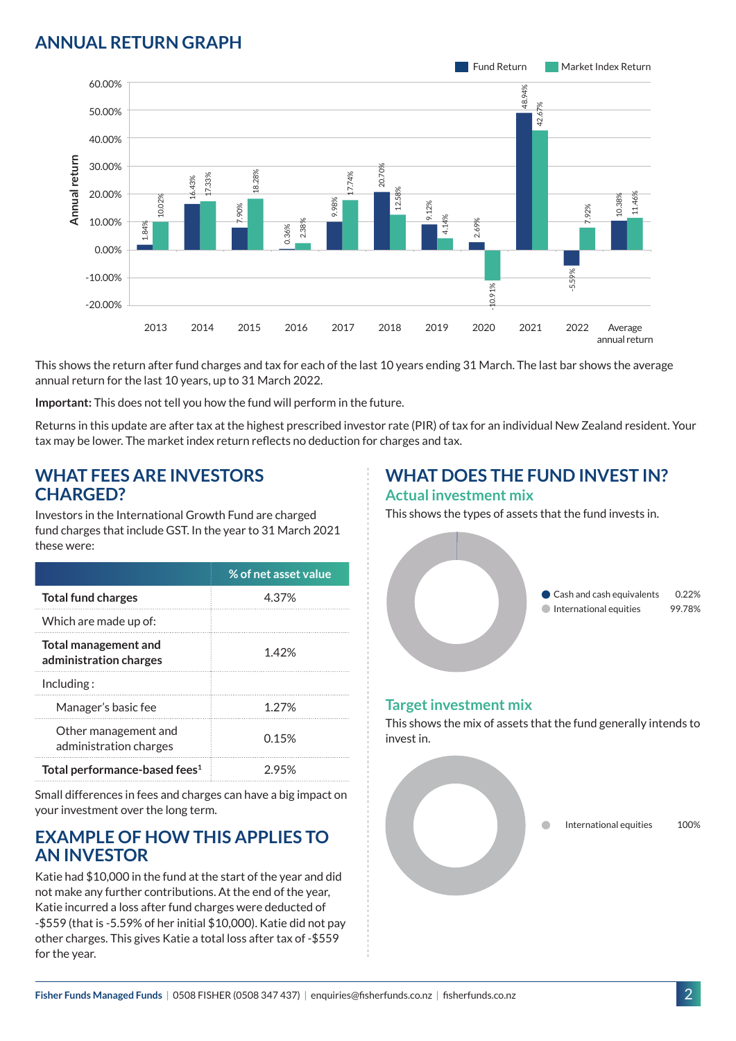### **ANNUAL RETURN GRAPH**



This shows the return after fund charges and tax for each of the last 10 years ending 31 March. The last bar shows the average annual return for the last 10 years, up to 31 March 2022.

**Important:** This does not tell you how the fund will perform in the future.

Returns in this update are after tax at the highest prescribed investor rate (PIR) of tax for an individual New Zealand resident. Your tax may be lower. The market index return reflects no deduction for charges and tax.

#### **WHAT FEES ARE INVESTORS CHARGED?**

Investors in the International Growth Fund are charged fund charges that include GST. In the year to 31 March 2021 these were:

|                                                | % of net asset value |
|------------------------------------------------|----------------------|
| <b>Total fund charges</b>                      | 4.37%                |
| Which are made up of:                          |                      |
| Total management and<br>administration charges | 1.42%                |
| Inding:                                        |                      |
| Manager's basic fee                            | 1.27%                |
| Other management and<br>administration charges | 0.15%                |
| Total performance-based fees <sup>1</sup>      | 2.95%                |

Small differences in fees and charges can have a big impact on your investment over the long term.

#### **EXAMPLE OF HOW THIS APPLIES TO AN INVESTOR**

Katie had \$10,000 in the fund at the start of the year and did not make any further contributions. At the end of the year, Katie incurred a loss after fund charges were deducted of -\$559 (that is -5.59% of her initial \$10,000). Katie did not pay other charges. This gives Katie a total loss after tax of -\$559 for the year.

## **WHAT DOES THE FUND INVEST IN?**

#### **Actual investment mix**

This shows the types of assets that the fund invests in.



#### **Target investment mix**

This shows the mix of assets that the fund generally intends to invest in.